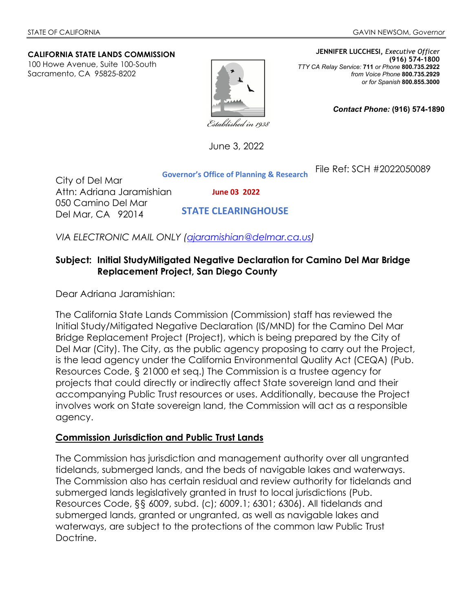#### **CALIFORNIA STATE LANDS COMMISSION**

100 Howe Avenue, Suite 100-South Sacramento, CA 95825-8202



**JENNIFER LUCCHESI,** *Executive Officer* **(916) 574-1800**  *TTY CA Relay Service:* **711** *or Phone* **800.735.2922** *from Voice Phone* **800.735.2929**  *or for Spanish* **800.855.3000**

File Ref: SCH #2022050089

*Contact Phone:* **(916) 574-1890** 

Established in 1938

June 3, 2022

City of Del Mar Attn: Adriana Jaramishian 050 Camino Del Mar Del Mar, CA 92014 **Governor's Office of Planning & Research June 03 2022 STATE CLEARINGHOUSE**

*VIA ELECTRONIC MAIL ONLY [\(ajaramishian@delmar.ca.us\)](mailto:ajaramishian@delmar.ca.us)*

### **Subject: Initial StudyMitigated Negative Declaration for Camino Del Mar Bridge Replacement Project, San Diego County**

Dear Adriana Jaramishian:

The California State Lands Commission (Commission) staff has reviewed the Initial Study/Mitigated Negative Declaration (IS/MND) for the Camino Del Mar Bridge Replacement Project (Project), which is being prepared by the City of Del Mar (City). The City, as the public agency proposing to carry out the Project, is the lead agency under the California Environmental Quality Act (CEQA) (Pub. Resources Code, § 21000 et seq.) The Commission is a trustee agency for projects that could directly or indirectly affect State sovereign land and their accompanying Public Trust resources or uses. Additionally, because the Project involves work on State sovereign land, the Commission will act as a responsible agency.

#### **Commission Jurisdiction and Public Trust Lands**

The Commission has jurisdiction and management authority over all ungranted tidelands, submerged lands, and the beds of navigable lakes and waterways. The Commission also has certain residual and review authority for tidelands and submerged lands legislatively granted in trust to local jurisdictions (Pub. Resources Code, §§ 6009, subd. (c); 6009.1; 6301; 6306). All tidelands and submerged lands, granted or ungranted, as well as navigable lakes and waterways, are subject to the protections of the common law Public Trust Doctrine.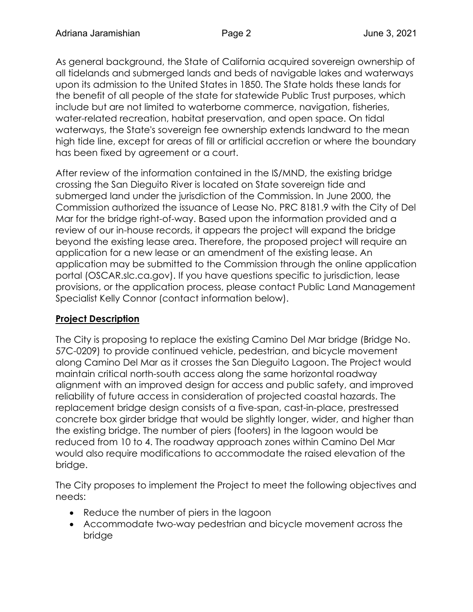As general background, the State of California acquired sovereign ownership of all tidelands and submerged lands and beds of navigable lakes and waterways upon its admission to the United States in 1850. The State holds these lands for the benefit of all people of the state for statewide Public Trust purposes, which include but are not limited to waterborne commerce, navigation, fisheries, water-related recreation, habitat preservation, and open space. On tidal waterways, the State's sovereign fee ownership extends landward to the mean high tide line, except for areas of fill or artificial accretion or where the boundary has been fixed by agreement or a court.

After review of the information contained in the IS/MND, the existing bridge crossing the San Dieguito River is located on State sovereign tide and submerged land under the jurisdiction of the Commission. In June 2000, the Commission authorized the issuance of Lease No. PRC 8181.9 with the City of Del Mar for the bridge right-of-way. Based upon the information provided and a review of our in-house records, it appears the project will expand the bridge beyond the existing lease area. Therefore, the proposed project will require an application for a new lease or an amendment of the existing lease. An application may be submitted to the Commission through the online application portal (OSCAR.slc.ca.gov). If you have questions specific to jurisdiction, lease provisions, or the application process, please contact Public Land Management Specialist Kelly Connor (contact information below).

## **Project Description**

The City is proposing to replace the existing Camino Del Mar bridge (Bridge No. 57C-0209) to provide continued vehicle, pedestrian, and bicycle movement along Camino Del Mar as it crosses the San Dieguito Lagoon. The Project would maintain critical north-south access along the same horizontal roadway alignment with an improved design for access and public safety, and improved reliability of future access in consideration of projected coastal hazards. The replacement bridge design consists of a five-span, cast-in-place, prestressed concrete box girder bridge that would be slightly longer, wider, and higher than the existing bridge. The number of piers (footers) in the lagoon would be reduced from 10 to 4. The roadway approach zones within Camino Del Mar would also require modifications to accommodate the raised elevation of the bridge.

The City proposes to implement the Project to meet the following objectives and needs:

- Reduce the number of piers in the lagoon
- Accommodate two-way pedestrian and bicycle movement across the bridge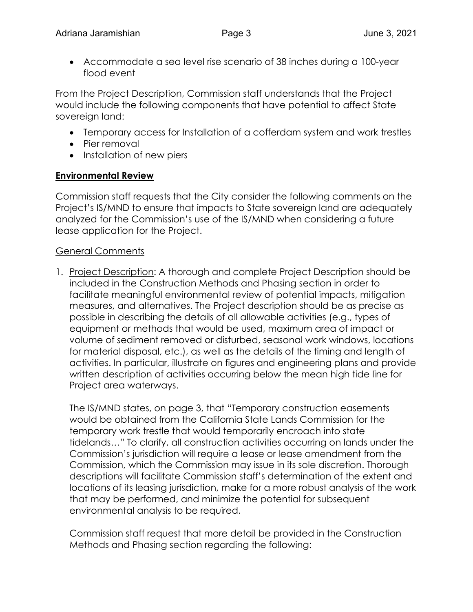Accommodate a sea level rise scenario of 38 inches during a 100-year flood event

From the Project Description, Commission staff understands that the Project would include the following components that have potential to affect State sovereign land:

- Temporary access for Installation of a cofferdam system and work trestles
- Pier removal
- Installation of new piers

# **Environmental Review**

Commission staff requests that the City consider the following comments on the Project's IS/MND to ensure that impacts to State sovereign land are adequately analyzed for the Commission's use of the IS/MND when considering a future lease application for the Project.

## General Comments

1. Project Description: A thorough and complete Project Description should be included in the Construction Methods and Phasing section in order to facilitate meaningful environmental review of potential impacts, mitigation measures, and alternatives. The Project description should be as precise as possible in describing the details of all allowable activities (e.g., types of equipment or methods that would be used, maximum area of impact or volume of sediment removed or disturbed, seasonal work windows, locations for material disposal, etc.), as well as the details of the timing and length of activities. In particular, illustrate on figures and engineering plans and provide written description of activities occurring below the mean high tide line for Project area waterways.

The IS/MND states, on page 3, that "Temporary construction easements would be obtained from the California State Lands Commission for the temporary work trestle that would temporarily encroach into state tidelands…" To clarify, all construction activities occurring on lands under the Commission's jurisdiction will require a lease or lease amendment from the Commission, which the Commission may issue in its sole discretion. Thorough descriptions will facilitate Commission staff's determination of the extent and locations of its leasing jurisdiction, make for a more robust analysis of the work that may be performed, and minimize the potential for subsequent environmental analysis to be required.

Commission staff request that more detail be provided in the Construction Methods and Phasing section regarding the following: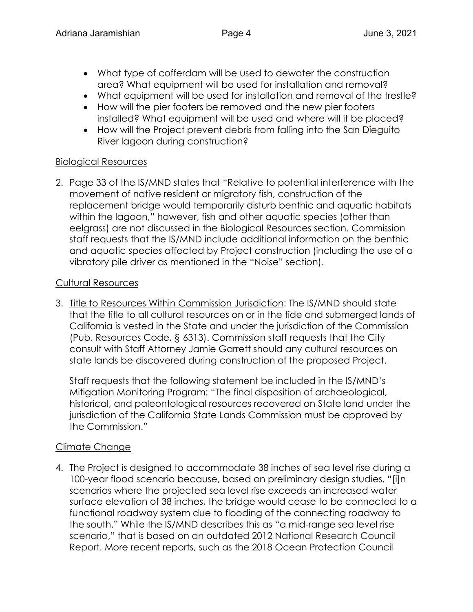- What type of cofferdam will be used to dewater the construction area? What equipment will be used for installation and removal?
- What equipment will be used for installation and removal of the trestle?
- How will the pier footers be removed and the new pier footers installed? What equipment will be used and where will it be placed?
- How will the Project prevent debris from falling into the San Dieguito River lagoon during construction?

## Biological Resources

2. Page 33 of the IS/MND states that "Relative to potential interference with the movement of native resident or migratory fish, construction of the replacement bridge would temporarily disturb benthic and aquatic habitats within the lagoon," however, fish and other aquatic species (other than eelgrass) are not discussed in the Biological Resources section. Commission staff requests that the IS/MND include additional information on the benthic and aquatic species affected by Project construction (including the use of a vibratory pile driver as mentioned in the "Noise" section).

## Cultural Resources

3. Title to Resources Within Commission Jurisdiction: The IS/MND should state that the title to all cultural resources on or in the tide and submerged lands of California is vested in the State and under the jurisdiction of the Commission (Pub. Resources Code, § 6313). Commission staff requests that the City consult with Staff Attorney Jamie Garrett should any cultural resources on state lands be discovered during construction of the proposed Project.

Staff requests that the following statement be included in the IS/MND's Mitigation Monitoring Program: "The final disposition of archaeological, historical, and paleontological resources recovered on State land under the jurisdiction of the California State Lands Commission must be approved by the Commission."

## Climate Change

4. The Project is designed to accommodate 38 inches of sea level rise during a 100-year flood scenario because, based on preliminary design studies, "[i]n scenarios where the projected sea level rise exceeds an increased water surface elevation of 38 inches, the bridge would cease to be connected to a functional roadway system due to flooding of the connecting roadway to the south." While the IS/MND describes this as "a mid-range sea level rise scenario," that is based on an outdated 2012 National Research Council Report. More recent reports, such as the 2018 Ocean Protection Council